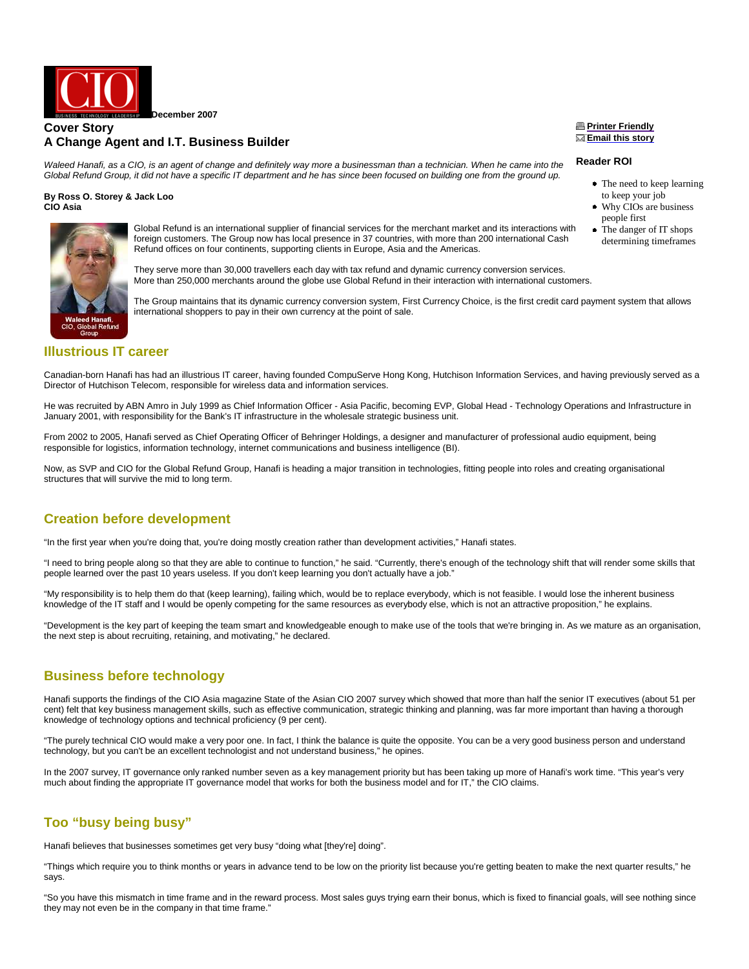

### **Cover Story A Change Agent and I.T. Business Builder**

Waleed Hanafi, as a CIO, is an agent of change and definitely way more a businessman than a technician. When he came into the Global Refund Group, it did not have a specific IT department and he has since been focused on building one from the ground up.

#### **By Ross O. Storey & Jack Loo CIO Asia**



Global Refund is an international supplier of financial services for the merchant market and its interactions with foreign customers. The Group now has local presence in 37 countries, with more than 200 international Cash Refund offices on four continents, supporting clients in Europe, Asia and the Americas.

They serve more than 30,000 travellers each day with tax refund and dynamic currency conversion services. More than 250,000 merchants around the globe use Global Refund in their interaction with international customers.

The Group maintains that its dynamic currency conversion system, First Currency Choice, is the first credit card payment system that allows international shoppers to pay in their own currency at the point of sale.

## **Illustrious IT career**

Canadian-born Hanafi has had an illustrious IT career, having founded CompuServe Hong Kong, Hutchison Information Services, and having previously served as a Director of Hutchison Telecom, responsible for wireless data and information services.

He was recruited by ABN Amro in July 1999 as Chief Information Officer - Asia Pacific, becoming EVP, Global Head - Technology Operations and Infrastructure in January 2001, with responsibility for the Bank's IT infrastructure in the wholesale strategic business unit.

From 2002 to 2005, Hanafi served as Chief Operating Officer of Behringer Holdings, a designer and manufacturer of professional audio equipment, being responsible for logistics, information technology, internet communications and business intelligence (BI).

Now, as SVP and CIO for the Global Refund Group, Hanafi is heading a major transition in technologies, fitting people into roles and creating organisational structures that will survive the mid to long term.

## **Creation before development**

"In the first year when you're doing that, you're doing mostly creation rather than development activities," Hanafi states.

"I need to bring people along so that they are able to continue to function," he said. "Currently, there's enough of the technology shift that will render some skills that people learned over the past 10 years useless. If you don't keep learning you don't actually have a job."

"My responsibility is to help them do that (keep learning), failing which, would be to replace everybody, which is not feasible. I would lose the inherent business knowledge of the IT staff and I would be openly competing for the same resources as everybody else, which is not an attractive proposition," he explains.

"Development is the key part of keeping the team smart and knowledgeable enough to make use of the tools that we're bringing in. As we mature as an organisation, the next step is about recruiting, retaining, and motivating," he declared.

## **Business before technology**

Hanafi supports the findings of the CIO Asia magazine State of the Asian CIO 2007 survey which showed that more than half the senior IT executives (about 51 per cent) felt that key business management skills, such as effective communication, strategic thinking and planning, was far more important than having a thorough knowledge of technology options and technical proficiency (9 per cent).

"The purely technical CIO would make a very poor one. In fact, I think the balance is quite the opposite. You can be a very good business person and understand technology, but you can't be an excellent technologist and not understand business," he opines.

In the 2007 survey, IT governance only ranked number seven as a key management priority but has been taking up more of Hanafi's work time. "This year's very much about finding the appropriate IT governance model that works for both the business model and for IT," the CIO claims.

# **Too "busy being busy"**

Hanafi believes that businesses sometimes get very busy "doing what [they're] doing".

"Things which require you to think months or years in advance tend to be low on the priority list because you're getting beaten to make the next quarter results," he says.

"So you have this mismatch in time frame and in the reward process. Most sales guys trying earn their bonus, which is fixed to financial goals, will see nothing since they may not even be in the company in that time frame."

#### **Printer Friendly Email this story**

#### **Reader ROI**

- The need to keep learning to keep your job
- Why CIOs are business people first
- The danger of IT shops determining timeframes